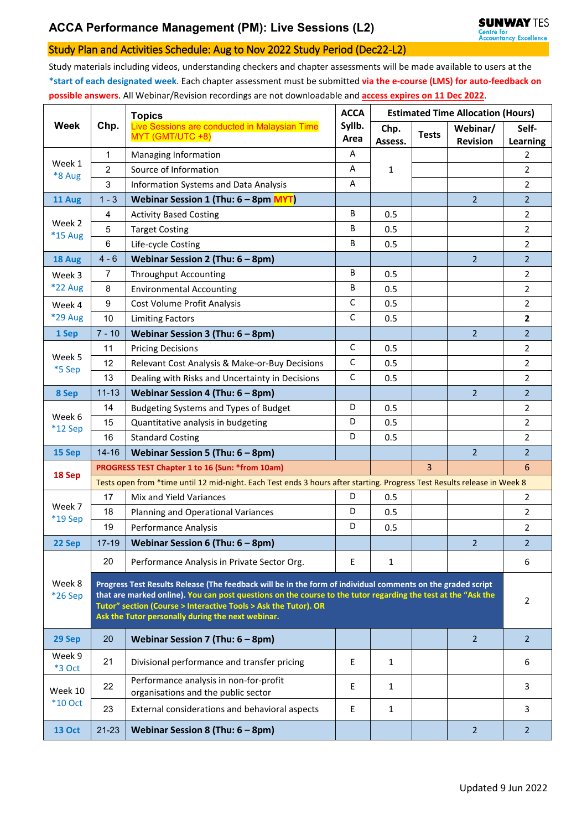## Study Plan and Activities Schedule: Aug to Nov 2022 Study Period (Dec22-L2)

Study materials including videos, understanding checkers and chapter assessments will be made available to users at the **\*start of each designated week**. Each chapter assessment must be submitted **via the e-course (LMS) for auto-feedback on possible answers**. All Webinar/Revision recordings are not downloadable and **access expires on 11 Dec 2022**.

| <b>Week</b>               | Chp.                                                                                                                                                                                                                                                                                                                                                 | <b>Topics</b><br>Live Sessions are conducted in Malaysian Time<br>MYT (GMT/UTC +8)                                       | <b>ACCA</b><br>Syllb.<br>Area | <b>Estimated Time Allocation (Hours)</b> |                |                             |                          |
|---------------------------|------------------------------------------------------------------------------------------------------------------------------------------------------------------------------------------------------------------------------------------------------------------------------------------------------------------------------------------------------|--------------------------------------------------------------------------------------------------------------------------|-------------------------------|------------------------------------------|----------------|-----------------------------|--------------------------|
|                           |                                                                                                                                                                                                                                                                                                                                                      |                                                                                                                          |                               | Chp.<br>Assess.                          | <b>Tests</b>   | Webinar/<br><b>Revision</b> | Self-<br><b>Learning</b> |
| Week 1<br>*8 Aug          | $\mathbf{1}$                                                                                                                                                                                                                                                                                                                                         | Managing Information                                                                                                     | A                             |                                          |                |                             | 2                        |
|                           | $\overline{c}$                                                                                                                                                                                                                                                                                                                                       | Source of Information                                                                                                    | А                             | $\mathbf{1}$                             |                |                             | $\overline{2}$           |
|                           | 3                                                                                                                                                                                                                                                                                                                                                    | Information Systems and Data Analysis                                                                                    | A                             |                                          |                |                             | $\overline{2}$           |
| 11 Aug                    | $1 - 3$                                                                                                                                                                                                                                                                                                                                              | Webinar Session 1 (Thu: 6 - 8pm MYT)                                                                                     |                               |                                          |                | $\overline{2}$              | $\overline{2}$           |
| Week 2                    | $\overline{\mathbf{4}}$                                                                                                                                                                                                                                                                                                                              | <b>Activity Based Costing</b>                                                                                            | B                             | 0.5                                      |                |                             | $\overline{2}$           |
| <b>*15 Aug</b>            | 5                                                                                                                                                                                                                                                                                                                                                    | <b>Target Costing</b>                                                                                                    | B                             | 0.5                                      |                |                             | $\overline{2}$           |
|                           | 6                                                                                                                                                                                                                                                                                                                                                    | Life-cycle Costing                                                                                                       | B                             | 0.5                                      |                |                             | $\overline{2}$           |
| 18 Aug                    | $4 - 6$                                                                                                                                                                                                                                                                                                                                              | Webinar Session 2 (Thu: 6 - 8pm)                                                                                         |                               |                                          |                | $\overline{2}$              | $\overline{2}$           |
| Week 3<br>*22 Aug         | $\overline{7}$                                                                                                                                                                                                                                                                                                                                       | <b>Throughput Accounting</b>                                                                                             | B                             | 0.5                                      |                |                             | $\overline{2}$           |
|                           | 8                                                                                                                                                                                                                                                                                                                                                    | <b>Environmental Accounting</b>                                                                                          | B                             | 0.5                                      |                |                             | $\overline{2}$           |
| Week 4                    | 9                                                                                                                                                                                                                                                                                                                                                    | Cost Volume Profit Analysis                                                                                              | $\mathsf C$                   | 0.5                                      |                |                             | $\overline{2}$           |
| *29 Aug                   | 10                                                                                                                                                                                                                                                                                                                                                   | <b>Limiting Factors</b>                                                                                                  | C                             | 0.5                                      |                |                             | $\mathbf{2}$             |
| 1 Sep                     | $7 - 10$                                                                                                                                                                                                                                                                                                                                             | Webinar Session 3 (Thu: $6 - 8$ pm)                                                                                      |                               |                                          |                | $\overline{2}$              | $\overline{2}$           |
| Week 5                    | 11                                                                                                                                                                                                                                                                                                                                                   | <b>Pricing Decisions</b>                                                                                                 | C                             | 0.5                                      |                |                             | $\overline{2}$           |
| *5 Sep                    | 12                                                                                                                                                                                                                                                                                                                                                   | Relevant Cost Analysis & Make-or-Buy Decisions                                                                           | $\mathsf C$                   | 0.5                                      |                |                             | $\overline{2}$           |
|                           | 13                                                                                                                                                                                                                                                                                                                                                   | Dealing with Risks and Uncertainty in Decisions                                                                          | $\mathsf{C}$                  | 0.5                                      |                |                             | $\overline{2}$           |
| 8 Sep                     | $11 - 13$                                                                                                                                                                                                                                                                                                                                            | Webinar Session 4 (Thu: $6 - 8$ pm)                                                                                      |                               |                                          |                | $\overline{2}$              | $\overline{2}$           |
| Week 6                    | 14                                                                                                                                                                                                                                                                                                                                                   | Budgeting Systems and Types of Budget                                                                                    | D                             | 0.5                                      |                |                             | $\overline{2}$           |
| *12 Sep                   | 15                                                                                                                                                                                                                                                                                                                                                   | Quantitative analysis in budgeting                                                                                       | D                             | 0.5                                      |                |                             | $\overline{2}$           |
|                           | 16                                                                                                                                                                                                                                                                                                                                                   | <b>Standard Costing</b>                                                                                                  | D                             | 0.5                                      |                |                             | $\overline{2}$           |
| 15 Sep                    | $14 - 16$                                                                                                                                                                                                                                                                                                                                            | Webinar Session 5 (Thu: $6 - 8$ pm)                                                                                      |                               |                                          |                | $\overline{2}$              | $\overline{2}$           |
| 18 Sep                    | PROGRESS TEST Chapter 1 to 16 (Sun: *from 10am)                                                                                                                                                                                                                                                                                                      |                                                                                                                          |                               |                                          | $\overline{3}$ |                             | 6                        |
|                           |                                                                                                                                                                                                                                                                                                                                                      | Tests open from *time until 12 mid-night. Each Test ends 3 hours after starting. Progress Test Results release in Week 8 |                               |                                          |                |                             |                          |
| Week 7                    | 17                                                                                                                                                                                                                                                                                                                                                   | Mix and Yield Variances                                                                                                  | D                             | 0.5                                      |                |                             | $\overline{2}$           |
| *19 Sep                   | 18                                                                                                                                                                                                                                                                                                                                                   | Planning and Operational Variances                                                                                       | D                             | 0.5                                      |                |                             | $\overline{2}$           |
|                           | 19                                                                                                                                                                                                                                                                                                                                                   | Performance Analysis                                                                                                     | D                             | 0.5                                      |                |                             | $\overline{2}$           |
| 22 Sep                    | $17 - 19$                                                                                                                                                                                                                                                                                                                                            | Webinar Session 6 (Thu: $6 - 8$ pm)                                                                                      |                               |                                          |                | $\overline{2}$              | $\overline{2}$           |
| Week 8<br>*26 Sep         | 20                                                                                                                                                                                                                                                                                                                                                   | Performance Analysis in Private Sector Org.                                                                              | E                             | $\mathbf{1}$                             |                |                             | 6                        |
|                           | Progress Test Results Release (The feedback will be in the form of individual comments on the graded script<br>that are marked online). You can post questions on the course to the tutor regarding the test at the "Ask the<br>Tutor" section (Course > Interactive Tools > Ask the Tutor). OR<br>Ask the Tutor personally during the next webinar. |                                                                                                                          |                               |                                          |                |                             |                          |
| 29 Sep                    | 20                                                                                                                                                                                                                                                                                                                                                   | Webinar Session 7 (Thu: 6 - 8pm)                                                                                         |                               |                                          |                | $\overline{2}$              | $\overline{2}$           |
| Week 9<br><b>*3 Oct</b>   | 21                                                                                                                                                                                                                                                                                                                                                   | Divisional performance and transfer pricing                                                                              | E                             | $\mathbf{1}$                             |                |                             | 6                        |
| Week 10<br><b>*10 Oct</b> | 22                                                                                                                                                                                                                                                                                                                                                   | Performance analysis in non-for-profit<br>organisations and the public sector                                            | E                             | $\mathbf{1}$                             |                |                             | 3                        |
|                           | 23                                                                                                                                                                                                                                                                                                                                                   | External considerations and behavioral aspects                                                                           | $\mathsf E$                   | $\mathbf{1}$                             |                |                             | 3                        |
| <b>13 Oct</b>             | $21 - 23$                                                                                                                                                                                                                                                                                                                                            | Webinar Session 8 (Thu: $6 - 8$ pm)                                                                                      |                               |                                          |                | $\overline{2}$              | $\overline{2}$           |